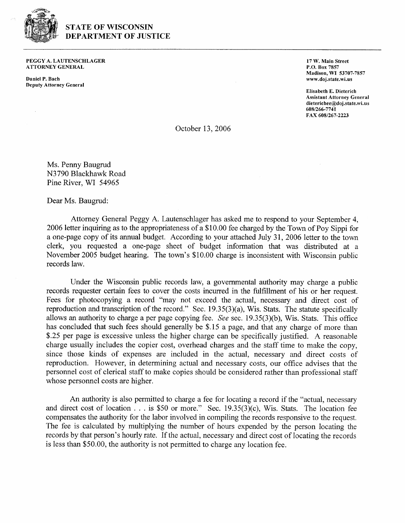

## **STATE OF WISCONSIN DEPARTMENT OF JUSTICE**

**PEGGY A. LAUTENSCHLAGER ATTORNEY GENERAL** 

**Daniel P. Bach Deputy Attorney General**  **17 W. Main Street P.O. Box 7857 Madison, WI 53707-7857 www.doj.state.wi.us** 

**Elisabeth E. Dieterich Assistant Attorney General dieterichee@doj.state.wi.us 608t266-7741 FAX 608/267-2223** 

October 13,2006

Ms. Penny Baugrud N3790 Blackhawk Road Pine River, WI 54965

Dear Ms. Baugrud:

Attorney General Peggy A. Lautenschlager has asked me to respond to your September 4, 2006 letter inquiring as to the appropriateness of a \$10.00 fee charged by the Town of Poy Sippi for a one-page copy of its annual budget. According to your attached July 31, 2006 letter to the town clerk, you requested a one-page sheet of budget information that was distributed at a November 2005 budget hearing. The town's \$10.00 charge is inconsistent with Wisconsin public records law.

Under the Wisconsin public records law, a governmental authority may charge a public records requester certain fees to cover the costs incurred in the fulfillment of his or her request. Fees for photocopying a record "may not exceed the actual, necessary and direct cost of reproduction and transcription of the record." Sec. 19.35(3)(a), Wis. Stats. The statute specifically allows an authority to charge a per page copying fee. *See* sec. 19.35(3)(b), Wis. Stats. This office has concluded that such fees should generally be \$. 15 a page, and that any charge of more than \$.25 per page is excessive unless the higher charge can be specifically justified. A reasonable charge usually includes the copier cost, overhead charges and the staff time to make the copy, since those kinds of expenses are included in the actual, necessary and direct costs of reproduction. However, in determining actual and necessary costs, our office advises that the personnel cost of clerical staff to make copies should be considered rather than professional staff whose personnel costs are higher.

An authority is also permitted to charge a fee for locating a record if the "actual, necessary and direct cost of location . . . is \$50 or more." Sec. 19.35(3)(c), Wis. Stats. The location fee compensates the authority for the labor involved in compiling the records responsive to the request. The fee is calculated by multiplying the number of hours expended by the person locating the records by that person's hourly rate. If the actual, necessary and direct cost of locating the records is less than \$50.00, the authority is not permitted to charge any location fee.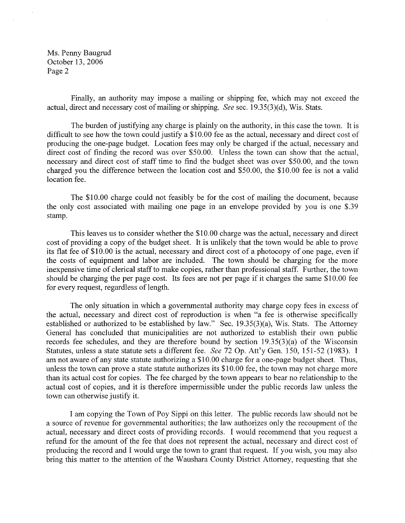Ms. Penny Baugrud October 13, 2006 Page 2

Finally, an authority may impose a mailing or shipping fee, which may not exceed the actual, direct and necessary cost of mailing or shipping. **See** sec. 19.35(3)(d), Wis. Stats.

The burden of justifying any charge is plainly on the authority, in this case the town. It is difficult to see how the town could justify a \$10.00 fee as the actual, necessary and direct cost of producing the one-page budget. Location fees may only be charged if the actual, necessary and direct cost of finding the record was over \$50.00. Unless the town can show that the actual, necessary and direct cost of staff time to find the budget sheet was over \$50.00, and the town charged you the difference between the location cost and \$50.00, the \$10.00 fee is not a valid location fee.

The \$10.00 charge could not feasibly be for the cost of mailing the document, because the only cost associated with mailing one page in an envelope provided by you is one \$.39 stamp.

This leaves us to consider whether the \$10.00 charge was the actual, necessary and direct cost of providing a copy of the budget sheet. It is unlikely that the town would be able to prove its flat fee of \$10.00 is the actual, necessary and direct cost of a photocopy of one page, even if the costs of equipment and labor are included. The town should be charging for the more inexpensive time of clerical staff to make copies, rather than professional staff. Further, the town should be charging the per page cost. Its fees are not per page if it charges the same \$1 0.00 fee for every request, regardless of length.

The only situation in which a governmental authority may charge copy fees in excess of the actual, necessary and direct cost of reproduction is when "a fee is otherwise specifically established or authorized to be established by law." Sec. 19.35(3)(a), Wis. Stats. The Attorney General has concluded that municipalities are not authorized to establish their own public records fee schedules, and they are therefore bound by section 19.35(3)(a) of the Wisconsin Statutes, unless a state statute sets a different fee. See 72 Op. Att'y Gen. 150, 151-52 (1983). I am not aware of any state statute authorizing a \$10.00 charge for a one-page budget sheet. Thus, unless the town can prove a state statute authorizes its \$10.00 fee, the town may not charge more than its actual cost for copies. The fee charged by the town appears to bear no relationship to the actual cost of copies, and it is therefore impermissible under the public records law unless the town can otherwise justify it.

I am copying the Town of Poy Sippi on this letter. The public records law should not be a source of revenue for governmental authorities; the law authorizes only the recoupment of the actual, necessary and direct costs of providing records. I would recommend that you request a refund for the amount of the fee that does not represent the actual, necessary and direct cost of producing the record and I would urge the town to grant that request. If you wish, you may also bring this matter to the attention of the Waushara County District Attorney, requesting that she